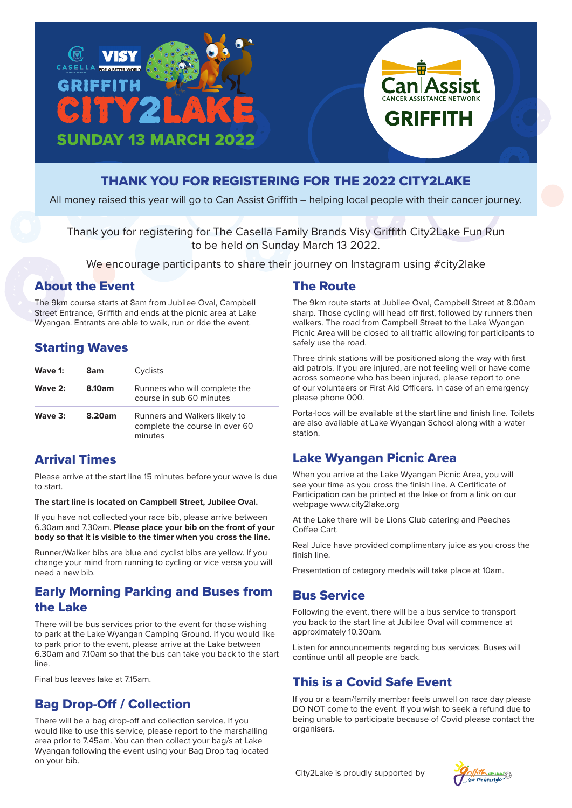



All money raised this year will go to Can Assist Griffith – helping local people with their cancer journey.

Thank you for registering for The Casella Family Brands Visy Griffith City2Lake Fun Run to be held on Sunday March 13 2022.

We encourage participants to share their journey on Instagram using #city2lake

#### About the Event

The 9km course starts at 8am from Jubilee Oval, Campbell Street Entrance, Griffith and ends at the picnic area at Lake Wyangan. Entrants are able to walk, run or ride the event.

### Starting Waves

| Wave 1:   | 8am    | Cyclists                                                                   |
|-----------|--------|----------------------------------------------------------------------------|
| Wave $2:$ | 8.10am | Runners who will complete the<br>course in sub 60 minutes                  |
| Wave $3:$ | 8.20am | Runners and Walkers likely to<br>complete the course in over 60<br>minutes |

# Arrival Times

Please arrive at the start line 15 minutes before your wave is due to start.

**The start line is located on Campbell Street, Jubilee Oval.**

If you have not collected your race bib, please arrive between 6.30am and 7.30am. **Please place your bib on the front of your body so that it is visible to the timer when you cross the line.** 

Runner/Walker bibs are blue and cyclist bibs are yellow. If you change your mind from running to cycling or vice versa you will need a new bib.

### Early Morning Parking and Buses from the Lake

There will be bus services prior to the event for those wishing to park at the Lake Wyangan Camping Ground. If you would like to park prior to the event, please arrive at the Lake between 6.30am and 7.10am so that the bus can take you back to the start line.

Final bus leaves lake at 7.15am.

### Bag Drop-Off / Collection

There will be a bag drop-off and collection service. If you would like to use this service, please report to the marshalling area prior to 7.45am. You can then collect your bag/s at Lake Wyangan following the event using your Bag Drop tag located on your bib.

### The Route

The 9km route starts at Jubilee Oval, Campbell Street at 8.00am sharp. Those cycling will head off first, followed by runners then walkers. The road from Campbell Street to the Lake Wyangan Picnic Area will be closed to all traffic allowing for participants to safely use the road.

**Assist** 

**GRIFFITH** 

Three drink stations will be positioned along the way with first aid patrols. If you are injured, are not feeling well or have come across someone who has been injured, please report to one of our volunteers or First Aid Officers. In case of an emergency please phone 000.

Porta-loos will be available at the start line and finish line. Toilets are also available at Lake Wyangan School along with a water station.

# Lake Wyangan Picnic Area

When you arrive at the Lake Wyangan Picnic Area, you will see your time as you cross the finish line. A Certificate of Participation can be printed at the lake or from a link on our webpage www.city2lake.org

At the Lake there will be Lions Club catering and Peeches Coffee Cart.

Real Juice have provided complimentary juice as you cross the finish line.

Presentation of category medals will take place at 10am.

### Bus Service

Following the event, there will be a bus service to transport you back to the start line at Jubilee Oval will commence at approximately 10.30am.

Listen for announcements regarding bus services. Buses will continue until all people are back.

# This is a Covid Safe Event

If you or a team/family member feels unwell on race day please DO NOT come to the event. If you wish to seek a refund due to being unable to participate because of Covid please contact the organisers.

City2Lake is proudly supported by